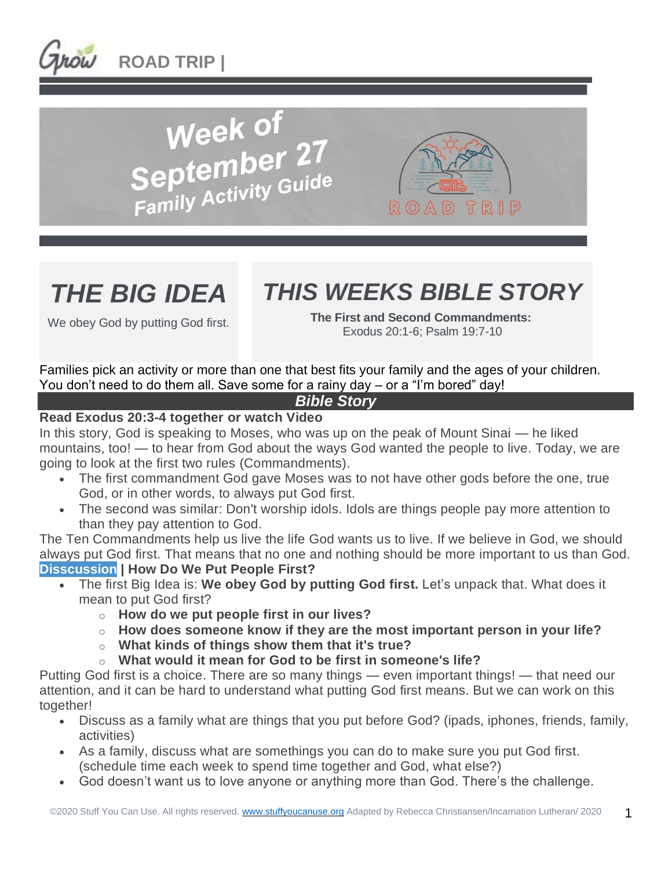







# *THIS WEEKS BIBLE STORY*

We obey God by putting God first.

**The First and Second Commandments:** Exodus 20:1-6; Psalm 19:7-10

Families pick an activity or more than one that best fits your family and the ages of your children. You don't need to do them all. Save some for a rainy day – or a "I'm bored" day!

# *Bible Story*

# **Read Exodus 20:3-4 together or watch Video**

In this story, God is speaking to Moses, who was up on the peak of Mount Sinai — he liked mountains, too! — to hear from God about the ways God wanted the people to live. Today, we are going to look at the first two rules (Commandments).

- The first commandment God gave Moses was to not have other gods before the one, true God, or in other words, to always put God first.
- The second was similar: Don't worship idols. Idols are things people pay more attention to than they pay attention to God.

The Ten Commandments help us live the life God wants us to live. If we believe in God, we should always put God first. That means that no one and nothing should be more important to us than God. **Disscussion | How Do We Put People First?**

- The first Big Idea is: **We obey God by putting God first.** Let's unpack that. What does it mean to put God first?
	- o **How do we put people first in our lives?**
	- o **How does someone know if they are the most important person in your life?**
	- o **What kinds of things show them that it's true?**
	- o **What would it mean for God to be first in someone's life?**

Putting God first is a choice. There are so many things — even important things! — that need our attention, and it can be hard to understand what putting God first means. But we can work on this together!

- Discuss as a family what are things that you put before God? (ipads, iphones, friends, family, activities)
- As a family, discuss what are somethings you can do to make sure you put God first. (schedule time each week to spend time together and God, what else?)
- God doesn't want us to love anyone or anything more than God. There's the challenge.